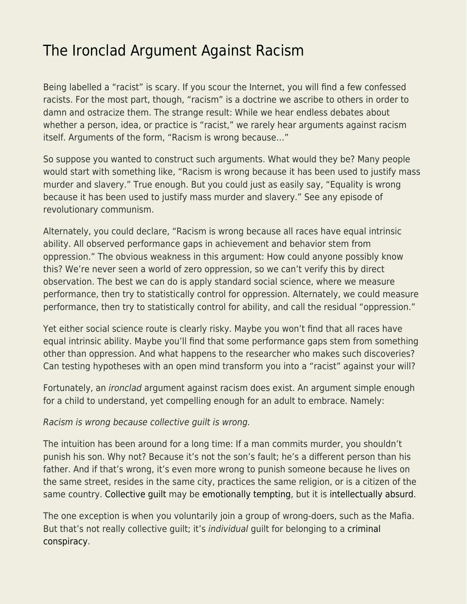## [The Ironclad Argument Against Racism](https://everything-voluntary.com/the-ironclad-argument-against-racism)

Being labelled a "racist" is scary. If you scour the Internet, you will find a few confessed racists. For the most part, though, "racism" is a doctrine we ascribe to others in order to damn and ostracize them. The strange result: While we hear endless debates about whether a person, idea, or practice is "racist," we rarely hear arguments against racism itself. Arguments of the form, "Racism is wrong because…"

So suppose you wanted to construct such arguments. What would they be? Many people would start with something like, "Racism is wrong because it has been used to justify mass murder and slavery." True enough. But you could just as easily say, "Equality is wrong because it has been used to justify mass murder and slavery." See any episode of revolutionary communism.

Alternately, you could declare, "Racism is wrong because all races have equal intrinsic ability. All observed performance gaps in achievement and behavior stem from oppression." The obvious weakness in this argument: How could anyone possibly know this? We're never seen a world of zero oppression, so we can't verify this by direct observation. The best we can do is apply standard social science, where we measure performance, then try to statistically control for oppression. Alternately, we could measure performance, then try to statistically control for ability, and call the residual "oppression."

Yet either social science route is clearly risky. Maybe you won't find that all races have equal intrinsic ability. Maybe you'll find that some performance gaps stem from something other than oppression. And what happens to the researcher who makes such discoveries? Can testing hypotheses with an open mind transform you into a "racist" against your will?

Fortunately, an ironclad argument against racism does exist. An argument simple enough for a child to understand, yet compelling enough for an adult to embrace. Namely:

Racism is wrong because collective guilt is wrong.

The intuition has been around for a long time: If a man commits murder, you shouldn't punish his son. Why not? Because it's not the son's fault; he's a different person than his father. And if that's wrong, it's even more wrong to punish someone because he lives on the same street, resides in the same city, practices the same religion, or is a citizen of the same country. [Collective guilt](https://www.econlib.org/archives/2013/02/collective_guil.html) may be [emotionally tempting](https://betonit.substack.com/p/unforgivability-and-collective-guilt?s=w), but it is [intellectually absurd](https://www.econlib.org/structural-excuses-for-everyone-for-everything/).

The one exception is when you voluntarily join a group of wrong-doers, such as the Mafia. But that's not really collective quilt; it's *individual* quilt for belonging to a [criminal](https://www.econlib.org/archives/2009/02/econlog_book_cl_7.html) [conspiracy.](https://www.econlib.org/archives/2009/02/econlog_book_cl_7.html)